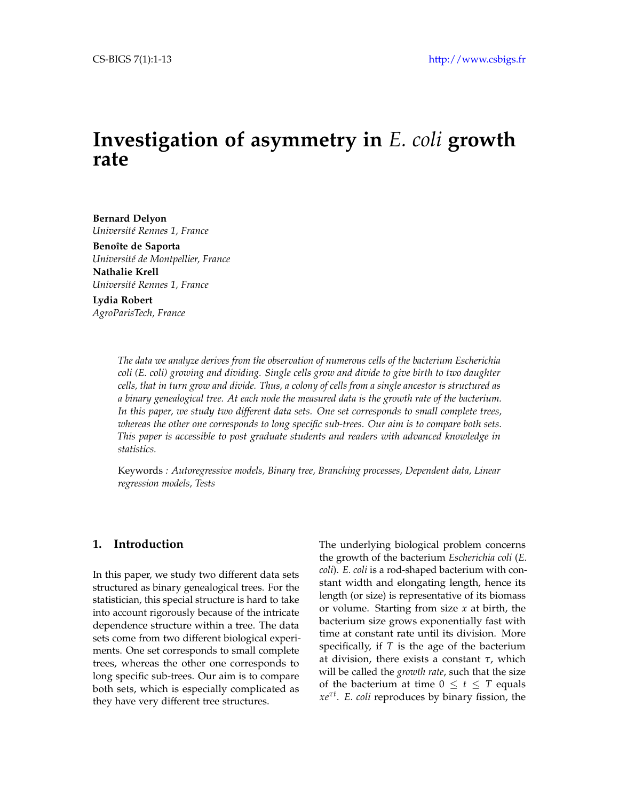# **Investigation of asymmetry in** *E. coli* **growth rate**

**Bernard Delyon** *Université Rennes 1, France*

**Benoîte de Saporta** *Université de Montpellier, France* **Nathalie Krell** *Université Rennes 1, France*

**Lydia Robert** *AgroParisTech, France*

> *The data we analyze derives from the observation of numerous cells of the bacterium Escherichia coli (E. coli) growing and dividing. Single cells grow and divide to give birth to two daughter cells, that in turn grow and divide. Thus, a colony of cells from a single ancestor is structured as a binary genealogical tree. At each node the measured data is the growth rate of the bacterium. In this paper, we study two different data sets. One set corresponds to small complete trees, whereas the other one corresponds to long specific sub-trees. Our aim is to compare both sets. This paper is accessible to post graduate students and readers with advanced knowledge in statistics.*

> Keywords *: Autoregressive models, Binary tree, Branching processes, Dependent data, Linear regression models, Tests*

# **1. Introduction**

In this paper, we study two different data sets structured as binary genealogical trees. For the statistician, this special structure is hard to take into account rigorously because of the intricate dependence structure within a tree. The data sets come from two different biological experiments. One set corresponds to small complete trees, whereas the other one corresponds to long specific sub-trees. Our aim is to compare both sets, which is especially complicated as they have very different tree structures.

The underlying biological problem concerns the growth of the bacterium *Escherichia coli* (*E. coli*). *E. coli* is a rod-shaped bacterium with constant width and elongating length, hence its length (or size) is representative of its biomass or volume. Starting from size *x* at birth, the bacterium size grows exponentially fast with time at constant rate until its division. More specifically, if *T* is the age of the bacterium at division, there exists a constant *τ*, which will be called the *growth rate*, such that the size of the bacterium at time  $0 \le t \le T$  equals *xeτ<sup>t</sup>* . *E. coli* reproduces by binary fission, the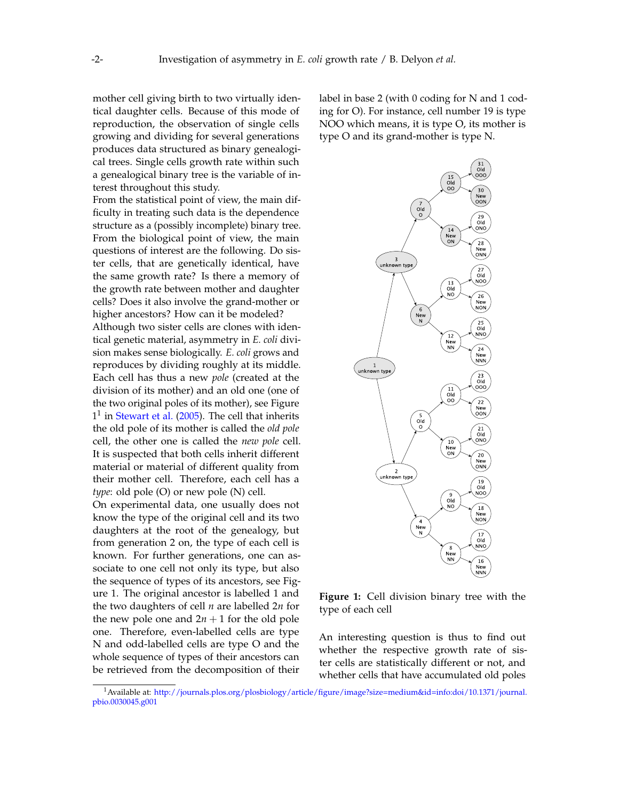mother cell giving birth to two virtually identical daughter cells. Because of this mode of reproduction, the observation of single cells growing and dividing for several generations produces data structured as binary genealogical trees. Single cells growth rate within such a genealogical binary tree is the variable of interest throughout this study.

From the statistical point of view, the main difficulty in treating such data is the dependence structure as a (possibly incomplete) binary tree. From the biological point of view, the main questions of interest are the following. Do sister cells, that are genetically identical, have the same growth rate? Is there a memory of the growth rate between mother and daughter cells? Does it also involve the grand-mother or higher ancestors? How can it be modeled?

Although two sister cells are clones with identical genetic material, asymmetry in *E. coli* division makes sense biologically. *E. coli* grows and reproduces by dividing roughly at its middle. Each cell has thus a new *pole* (created at the division of its mother) and an old one (one of the two original poles of its mother), see Figure  $1<sup>1</sup>$  $1<sup>1</sup>$  in [Stewart et al.](#page-12-0) [\(2005\)](#page-12-0). The cell that inherits the old pole of its mother is called the *old pole* cell, the other one is called the *new pole* cell. It is suspected that both cells inherit different material or material of different quality from their mother cell. Therefore, each cell has a *type*: old pole (O) or new pole (N) cell.

On experimental data, one usually does not know the type of the original cell and its two daughters at the root of the genealogy, but from generation 2 on, the type of each cell is known. For further generations, one can associate to one cell not only its type, but also the sequence of types of its ancestors, see Figure [1.](#page-1-1) The original ancestor is labelled 1 and the two daughters of cell *n* are labelled 2*n* for the new pole one and  $2n + 1$  for the old pole one. Therefore, even-labelled cells are type N and odd-labelled cells are type O and the whole sequence of types of their ancestors can be retrieved from the decomposition of their

label in base 2 (with 0 coding for N and 1 coding for O). For instance, cell number 19 is type NOO which means, it is type O, its mother is type O and its grand-mother is type N.

<span id="page-1-1"></span>

**Figure 1:** Cell division binary tree with the type of each cell

An interesting question is thus to find out whether the respective growth rate of sister cells are statistically different or not, and whether cells that have accumulated old poles

<span id="page-1-0"></span><sup>1</sup>Available at: [http://journals.plos.org/plosbiology/article/figure/image?size=medium&id=info:doi/10.1371/journal.](http://journals.plos.org/plosbiology/article/figure/image?size=medium&id=info:doi/10.1371/journal.pbio.0030045.g001) [pbio.0030045.g001](http://journals.plos.org/plosbiology/article/figure/image?size=medium&id=info:doi/10.1371/journal.pbio.0030045.g001)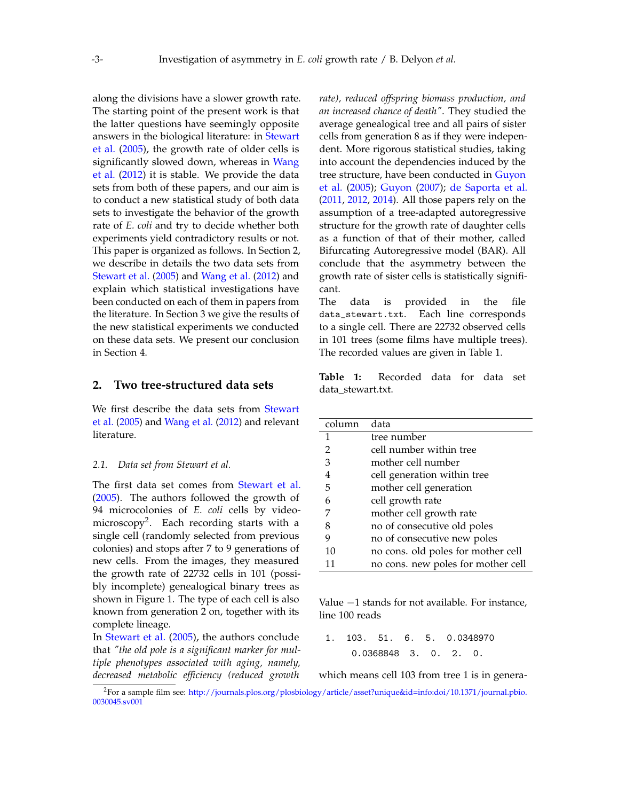along the divisions have a slower growth rate. The starting point of the present work is that the latter questions have seemingly opposite answers in the biological literature: in [Stewart](#page-12-0) [et al.](#page-12-0) [\(2005\)](#page-12-0), the growth rate of older cells is significantly slowed down, whereas in [Wang](#page-12-1) [et al.](#page-12-1) [\(2012\)](#page-12-1) it is stable. We provide the data sets from both of these papers, and our aim is to conduct a new statistical study of both data sets to investigate the behavior of the growth rate of *E. coli* and try to decide whether both experiments yield contradictory results or not. This paper is organized as follows. In Section [2,](#page-2-0) we describe in details the two data sets from [Stewart et al.](#page-12-0) [\(2005\)](#page-12-0) and [Wang et al.](#page-12-1) [\(2012\)](#page-12-1) and explain which statistical investigations have been conducted on each of them in papers from the literature. In Section [3](#page-4-0) we give the results of the new statistical experiments we conducted on these data sets. We present our conclusion in Section [4.](#page-10-0)

### <span id="page-2-0"></span>**2. Two tree-structured data sets**

We first describe the data sets from [Stewart](#page-12-0) [et al.](#page-12-0) [\(2005\)](#page-12-0) and [Wang et al.](#page-12-1) [\(2012\)](#page-12-1) and relevant literature.

#### *2.1. Data set from Stewart et al.*

The first data set comes from [Stewart et al.](#page-12-0) [\(2005\)](#page-12-0). The authors followed the growth of 94 microcolonies of *E. coli* cells by video-microscopy<sup>[2](#page-2-1)</sup>. Each recording starts with a single cell (randomly selected from previous colonies) and stops after 7 to 9 generations of new cells. From the images, they measured the growth rate of 22732 cells in 101 (possibly incomplete) genealogical binary trees as shown in Figure [1.](#page-1-1) The type of each cell is also known from generation 2 on, together with its complete lineage.

In [Stewart et al.](#page-12-0) [\(2005\)](#page-12-0), the authors conclude that *"the old pole is a significant marker for multiple phenotypes associated with aging, namely, decreased metabolic efficiency (reduced growth* *rate), reduced offspring biomass production, and an increased chance of death"*. They studied the average genealogical tree and all pairs of sister cells from generation 8 as if they were independent. More rigorous statistical studies, taking into account the dependencies induced by the tree structure, have been conducted in [Guyon](#page-11-0) [et al.](#page-11-0) [\(2005\)](#page-11-0); [Guyon](#page-11-1) [\(2007\)](#page-11-1); [de Saporta et al.](#page-11-2) [\(2011,](#page-11-2) [2012,](#page-11-3) [2014\)](#page-11-4). All those papers rely on the assumption of a tree-adapted autoregressive structure for the growth rate of daughter cells as a function of that of their mother, called Bifurcating Autoregressive model (BAR). All conclude that the asymmetry between the growth rate of sister cells is statistically significant.

The data is provided in the file data\_stewart.txt. Each line corresponds to a single cell. There are 22732 observed cells in 101 trees (some films have multiple trees). The recorded values are given in Table [1.](#page-2-2)

<span id="page-2-2"></span>**Table 1:** Recorded data for data set data\_stewart.txt.

| column | data                               |  |
|--------|------------------------------------|--|
| 1      | tree number                        |  |
| 2      | cell number within tree            |  |
| 3      | mother cell number                 |  |
| 4      | cell generation within tree        |  |
| 5      | mother cell generation             |  |
| 6      | cell growth rate                   |  |
| 7      | mother cell growth rate            |  |
| 8      | no of consecutive old poles        |  |
| 9      | no of consecutive new poles        |  |
| 10     | no cons. old poles for mother cell |  |
| 11     | no cons. new poles for mother cell |  |

Value −1 stands for not available. For instance, line 100 reads

1. 103. 51. 6. 5. 0.0348970 0.0368848 3. 0. 2. 0.

which means cell 103 from tree 1 is in genera-

<span id="page-2-1"></span><sup>2</sup>For a sample film see: [http://journals.plos.org/plosbiology/article/asset?unique&id=info:doi/10.1371/journal.pbio.](http://journals.plos.org/plosbiology/article/asset?unique&id=info:doi/10.1371/journal.pbio.0030045.sv001) [0030045.sv001](http://journals.plos.org/plosbiology/article/asset?unique&id=info:doi/10.1371/journal.pbio.0030045.sv001)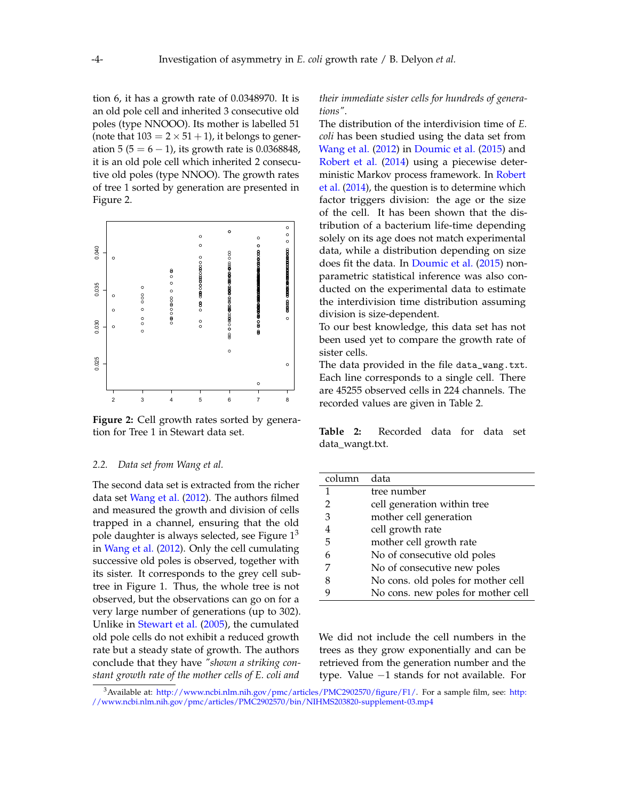tion 6, it has a growth rate of 0.0348970. It is an old pole cell and inherited 3 consecutive old poles (type NNOOO). Its mother is labelled 51 (note that  $103 = 2 \times 51 + 1$ ), it belongs to generation 5 ( $5 = 6 - 1$ ), its growth rate is 0.0368848, it is an old pole cell which inherited 2 consecutive old poles (type NNOO). The growth rates of tree 1 sorted by generation are presented in Figure [2.](#page-3-0)

<span id="page-3-0"></span>

Figure 2: Cell growth rates sorted by generation for Tree 1 in Stewart data set.

#### *2.2. Data set from Wang et al.*

The second data set is extracted from the richer data set [Wang et al.](#page-12-1) [\(2012\)](#page-12-1). The authors filmed and measured the growth and division of cells trapped in a channel, ensuring that the old pole daughter is always selected, see Figure  $1<sup>3</sup>$  $1<sup>3</sup>$  $1<sup>3</sup>$ in [Wang et al.](#page-12-1) [\(2012\)](#page-12-1). Only the cell cumulating successive old poles is observed, together with its sister. It corresponds to the grey cell subtree in Figure [1.](#page-1-1) Thus, the whole tree is not observed, but the observations can go on for a very large number of generations (up to 302). Unlike in [Stewart et al.](#page-12-0) [\(2005\)](#page-12-0), the cumulated old pole cells do not exhibit a reduced growth rate but a steady state of growth. The authors conclude that they have *"shown a striking constant growth rate of the mother cells of E. coli and*

*their immediate sister cells for hundreds of generations"*.

The distribution of the interdivision time of *E. coli* has been studied using the data set from [Wang et al.](#page-12-1) [\(2012\)](#page-12-1) in [Doumic et al.](#page-11-5) [\(2015\)](#page-11-5) and [Robert et al.](#page-11-6) [\(2014\)](#page-11-6) using a piecewise deterministic Markov process framework. In [Robert](#page-11-6) [et al.](#page-11-6) [\(2014\)](#page-11-6), the question is to determine which factor triggers division: the age or the size of the cell. It has been shown that the distribution of a bacterium life-time depending solely on its age does not match experimental data, while a distribution depending on size does fit the data. In [Doumic et al.](#page-11-5) [\(2015\)](#page-11-5) nonparametric statistical inference was also conducted on the experimental data to estimate the interdivision time distribution assuming division is size-dependent.

To our best knowledge, this data set has not been used yet to compare the growth rate of sister cells.

The data provided in the file data\_wang.txt. Each line corresponds to a single cell. There are 45255 observed cells in 224 channels. The recorded values are given in Table [2.](#page-3-2)

<span id="page-3-2"></span>**Table 2:** Recorded data for data set data\_wangt.txt.

| column | data                               |  |  |
|--------|------------------------------------|--|--|
| 1      | tree number                        |  |  |
| 2      | cell generation within tree        |  |  |
| 3      | mother cell generation             |  |  |
| 4      | cell growth rate                   |  |  |
| 5      | mother cell growth rate            |  |  |
| 6      | No of consecutive old poles        |  |  |
| 7      | No of consecutive new poles        |  |  |
| 8      | No cons. old poles for mother cell |  |  |
|        | No cons. new poles for mother cell |  |  |

We did not include the cell numbers in the trees as they grow exponentially and can be retrieved from the generation number and the type. Value −1 stands for not available. For

<span id="page-3-1"></span><sup>3</sup> Available at: [http://www.ncbi.nlm.nih.gov/pmc/articles/PMC2902570/figure/F1/.](http://www.ncbi.nlm.nih.gov/pmc/articles/PMC2902570/figure/F1/) For a sample film, see: [http:](http://www.ncbi.nlm.nih.gov/pmc/articles/PMC2902570/bin/NIHMS203820-supplement-03.mp4) [//www.ncbi.nlm.nih.gov/pmc/articles/PMC2902570/bin/NIHMS203820-supplement-03.mp4](http://www.ncbi.nlm.nih.gov/pmc/articles/PMC2902570/bin/NIHMS203820-supplement-03.mp4)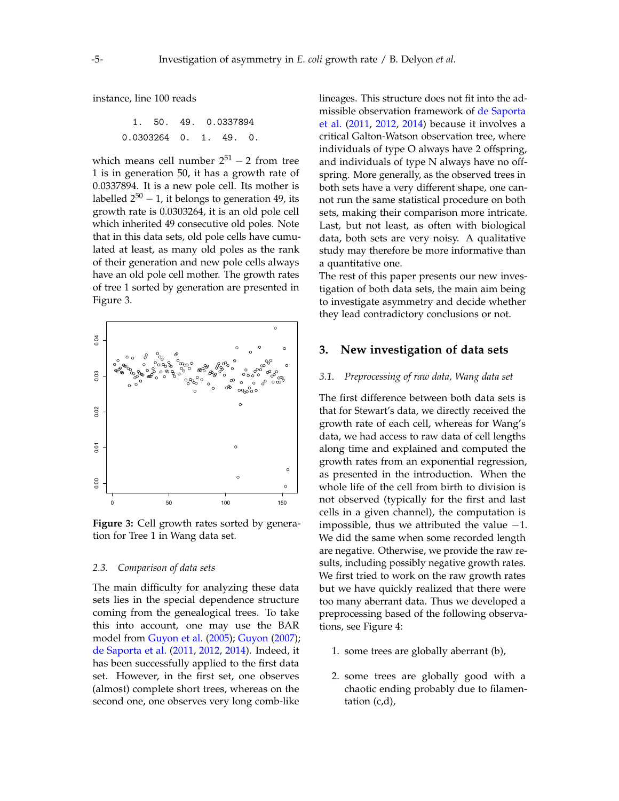instance, line 100 reads

$$
1. \quad 50. \quad 49. \quad 0.0337894
$$
  

$$
0.0303264 \quad 0. \quad 1. \quad 49. \quad 0.
$$

which means cell number  $2^{51} - 2$  from tree 1 is in generation 50, it has a growth rate of 0.0337894. It is a new pole cell. Its mother is labelled 2 $^{50}$  – 1, it belongs to generation 49, its growth rate is 0.0303264, it is an old pole cell which inherited 49 consecutive old poles. Note that in this data sets, old pole cells have cumulated at least, as many old poles as the rank of their generation and new pole cells always have an old pole cell mother. The growth rates of tree 1 sorted by generation are presented in Figure [3.](#page-4-1)

<span id="page-4-1"></span>

Figure 3: Cell growth rates sorted by generation for Tree 1 in Wang data set.

#### *2.3. Comparison of data sets*

The main difficulty for analyzing these data sets lies in the special dependence structure coming from the genealogical trees. To take this into account, one may use the BAR model from [Guyon et al.](#page-11-0) [\(2005\)](#page-11-0); [Guyon](#page-11-1) [\(2007\)](#page-11-1); [de Saporta et al.](#page-11-2) [\(2011,](#page-11-2) [2012,](#page-11-3) [2014\)](#page-11-4). Indeed, it has been successfully applied to the first data set. However, in the first set, one observes (almost) complete short trees, whereas on the second one, one observes very long comb-like lineages. This structure does not fit into the admissible observation framework of [de Saporta](#page-11-2) [et al.](#page-11-2) [\(2011,](#page-11-2) [2012,](#page-11-3) [2014\)](#page-11-4) because it involves a critical Galton-Watson observation tree, where individuals of type O always have 2 offspring, and individuals of type N always have no offspring. More generally, as the observed trees in both sets have a very different shape, one cannot run the same statistical procedure on both sets, making their comparison more intricate. Last, but not least, as often with biological data, both sets are very noisy. A qualitative study may therefore be more informative than a quantitative one.

The rest of this paper presents our new investigation of both data sets, the main aim being to investigate asymmetry and decide whether they lead contradictory conclusions or not.

## <span id="page-4-0"></span>**3. New investigation of data sets**

#### *3.1. Preprocessing of raw data, Wang data set*

The first difference between both data sets is that for Stewart's data, we directly received the growth rate of each cell, whereas for Wang's data, we had access to raw data of cell lengths along time and explained and computed the growth rates from an exponential regression, as presented in the introduction. When the whole life of the cell from birth to division is not observed (typically for the first and last cells in a given channel), the computation is impossible, thus we attributed the value  $-1$ . We did the same when some recorded length are negative. Otherwise, we provide the raw results, including possibly negative growth rates. We first tried to work on the raw growth rates but we have quickly realized that there were too many aberrant data. Thus we developed a preprocessing based of the following observations, see Figure [4:](#page-5-0)

- 1. some trees are globally aberrant (b),
- 2. some trees are globally good with a chaotic ending probably due to filamentation (c,d),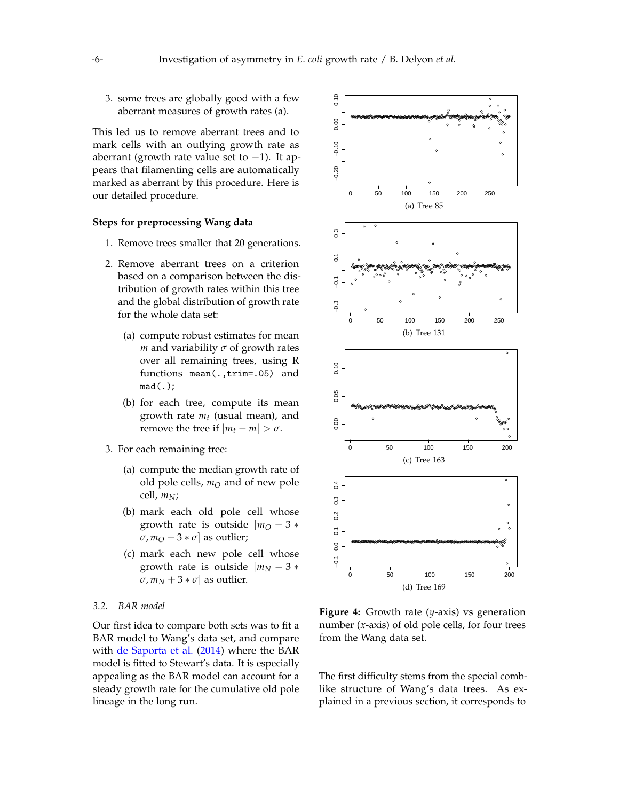3. some trees are globally good with a few aberrant measures of growth rates (a).

This led us to remove aberrant trees and to mark cells with an outlying growth rate as aberrant (growth rate value set to −1). It appears that filamenting cells are automatically marked as aberrant by this procedure. Here is our detailed procedure.

#### **Steps for preprocessing Wang data**

- 1. Remove trees smaller that 20 generations.
- 2. Remove aberrant trees on a criterion based on a comparison between the distribution of growth rates within this tree and the global distribution of growth rate for the whole data set:
	- (a) compute robust estimates for mean *m* and variability *σ* of growth rates over all remaining trees, using R functions mean(.,trim=.05) and mad(.);
	- (b) for each tree, compute its mean growth rate *m<sup>t</sup>* (usual mean), and remove the tree if  $|m_t - m| > \sigma$ .
- 3. For each remaining tree:
	- (a) compute the median growth rate of old pole cells, *m<sup>O</sup>* and of new pole cell, *mN*;
	- (b) mark each old pole cell whose growth rate is outside  $[m<sub>O</sub> - 3*$  $\sigma$ ,  $m_O + 3 * \sigma$  as outlier;
	- (c) mark each new pole cell whose growth rate is outside  $[m_N - 3]$  $\sigma$ ,  $m_N + 3 * \sigma$  as outlier.

#### *3.2. BAR model*

Our first idea to compare both sets was to fit a BAR model to Wang's data set, and compare with [de Saporta et al.](#page-11-4) [\(2014\)](#page-11-4) where the BAR model is fitted to Stewart's data. It is especially appealing as the BAR model can account for a steady growth rate for the cumulative old pole lineage in the long run.

<span id="page-5-0"></span>

**Figure 4:** Growth rate (*y*-axis) vs generation number (*x*-axis) of old pole cells, for four trees from the Wang data set.

The first difficulty stems from the special comblike structure of Wang's data trees. As explained in a previous section, it corresponds to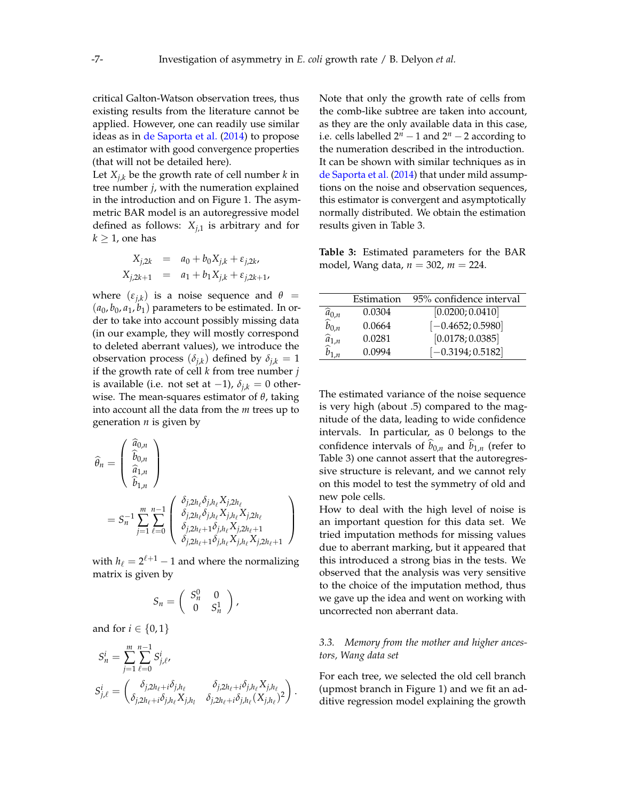critical Galton-Watson observation trees, thus existing results from the literature cannot be applied. However, one can readily use similar ideas as in [de Saporta et al.](#page-11-4) [\(2014\)](#page-11-4) to propose an estimator with good convergence properties (that will not be detailed here).

Let  $X_{i,k}$  be the growth rate of cell number  $k$  in tree number *j*, with the numeration explained in the introduction and on Figure [1.](#page-1-1) The asymmetric BAR model is an autoregressive model defined as follows:  $X_{i,1}$  is arbitrary and for  $k \geq 1$ , one has

$$
X_{j,2k} = a_0 + b_0 X_{j,k} + \varepsilon_{j,2k},
$$
  

$$
X_{j,2k+1} = a_1 + b_1 X_{j,k} + \varepsilon_{j,2k+1},
$$

where  $(\varepsilon_{j,k})$  is a noise sequence and  $\theta =$  $(a_0, b_0, a_1, b_1)$  parameters to be estimated. In order to take into account possibly missing data (in our example, they will mostly correspond to deleted aberrant values), we introduce the observation process  $(\delta_{j,k})$  defined by  $\delta_{j,k} = 1$ if the growth rate of cell *k* from tree number *j* is available (i.e. not set at  $-1$ ),  $\delta_{i,k} = 0$  otherwise. The mean-squares estimator of *θ*, taking into account all the data from the *m* trees up to generation *n* is given by

$$
\widehat{\theta}_n = \begin{pmatrix}\n\widehat{a}_{0,n} \\
\widehat{b}_{0,n} \\
\widehat{a}_{1,n}\n\end{pmatrix}
$$
\n
$$
= S_n^{-1} \sum_{j=1}^m \sum_{\ell=0}^{n-1} \begin{pmatrix}\n\delta_{j,2h_\ell} \delta_{j,h_\ell} X_{j,2h_\ell} \\
\delta_{j,2h_\ell} \delta_{j,h_\ell} X_{j,h_\ell} X_{j,2h_\ell} \\
\delta_{j,2h_\ell+1} \delta_{j,h_\ell} X_{j,2h_\ell+1} \\
\delta_{j,2h_\ell+1} \delta_{j,h_\ell} X_{j,h_\ell} X_{j,2h_\ell+1}\n\end{pmatrix}
$$

with  $h_{\ell} = 2^{\ell+1} - 1$  and where the normalizing matrix is given by

$$
S_n = \left(\begin{array}{cc} S_n^0 & 0 \\ 0 & S_n^1 \end{array}\right),
$$

and for  $i \in \{0, 1\}$ 

$$
S_n^i = \sum_{j=1}^m \sum_{\ell=0}^{n-1} S_{j,\ell}^i,
$$
  
\n
$$
S_{j,\ell}^i = \begin{pmatrix} \delta_{j,2h_\ell+i}\delta_{j,h_\ell} & \delta_{j,2h_\ell+i}\delta_{j,h_\ell}X_{j,h_\ell} \\ \delta_{j,2h_\ell+i}\delta_{j,h_\ell}X_{j,h_l} & \delta_{j,2h_\ell+i}\delta_{j,h_\ell}(X_{j,h_\ell})^2 \end{pmatrix}.
$$

Note that only the growth rate of cells from the comb-like subtree are taken into account, as they are the only available data in this case, i.e. cells labelled  $2^n - 1$  and  $2^n - 2$  according to the numeration described in the introduction. It can be shown with similar techniques as in [de Saporta et al.](#page-11-4) [\(2014\)](#page-11-4) that under mild assumptions on the noise and observation sequences, this estimator is convergent and asymptotically normally distributed. We obtain the estimation results given in Table [3.](#page-6-0)

<span id="page-6-0"></span>**Table 3:** Estimated parameters for the BAR model, Wang data, *n* = 302, *m* = 224.

|                                                                                                                 | Estimation | 95% confidence interval |
|-----------------------------------------------------------------------------------------------------------------|------------|-------------------------|
|                                                                                                                 | 0.0304     | [0.0200; 0.0410]        |
|                                                                                                                 | 0.0664     | $[-0.4652; 0.5980]$     |
|                                                                                                                 | 0.0281     | [0.0178; 0.0385]        |
| $\begin{matrix}\widehat{\hat{a}}_{0,n}\\ \widehat{b}_{0,n}\\ \widehat{a}_{1,n}\\ \widehat{b}_{1,n}\end{matrix}$ | 0.0994     | $[-0.3194; 0.5182]$     |

The estimated variance of the noise sequence is very high (about .5) compared to the magnitude of the data, leading to wide confidence intervals. In particular, as 0 belongs to the confidence intervals of  $b_{0,n}$  and  $b_{1,n}$  (refer to Table [3\)](#page-6-0) one cannot assert that the autoregressive structure is relevant, and we cannot rely on this model to test the symmetry of old and new pole cells.

How to deal with the high level of noise is an important question for this data set. We tried imputation methods for missing values due to aberrant marking, but it appeared that this introduced a strong bias in the tests. We observed that the analysis was very sensitive to the choice of the imputation method, thus we gave up the idea and went on working with uncorrected non aberrant data.

#### *3.3. Memory from the mother and higher ancestors, Wang data set*

For each tree, we selected the old cell branch (upmost branch in Figure [1\)](#page-1-1) and we fit an additive regression model explaining the growth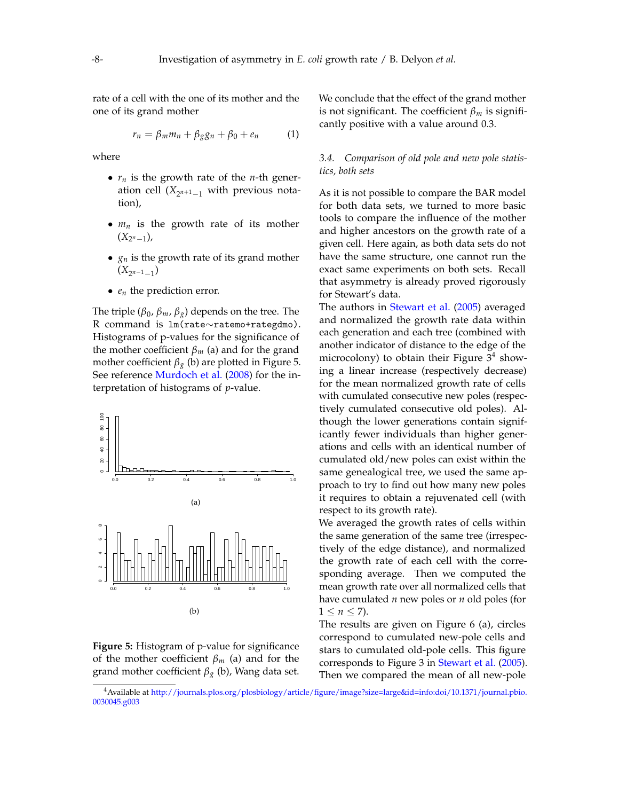rate of a cell with the one of its mother and the one of its grand mother

$$
r_n = \beta_m m_n + \beta_g g_n + \beta_0 + e_n \qquad (1)
$$

where

- *r<sup>n</sup>* is the growth rate of the *n*-th generation cell (*X*<sup>2</sup> *<sup>n</sup>*+1−<sup>1</sup> with previous notation),
- $m_n$  is the growth rate of its mother (*X*<sup>2</sup> *<sup>n</sup>*−1),
- *g<sup>n</sup>* is the growth rate of its grand mother  $(X_{2^{n-1}-1})$
- *e<sup>n</sup>* the prediction error.

The triple ( $\beta_0$ ,  $\beta_m$ ,  $\beta_g$ ) depends on the tree. The R command is lm(rate∼ratemo+rategdmo). Histograms of p-values for the significance of the mother coefficient  $\beta_m$  (a) and for the grand mother coefficient  $\beta_g$  (b) are plotted in Figure [5.](#page-7-0) See reference [Murdoch et al.](#page-11-7) [\(2008\)](#page-11-7) for the interpretation of histograms of *p*-value.

<span id="page-7-0"></span>



<span id="page-7-2"></span>We conclude that the effect of the grand mother is not significant. The coefficient *β<sup>m</sup>* is significantly positive with a value around 0.3.

## *3.4. Comparison of old pole and new pole statistics, both sets*

As it is not possible to compare the BAR model for both data sets, we turned to more basic tools to compare the influence of the mother and higher ancestors on the growth rate of a given cell. Here again, as both data sets do not have the same structure, one cannot run the exact same experiments on both sets. Recall that asymmetry is already proved rigorously for Stewart's data.

The authors in [Stewart et al.](#page-12-0) [\(2005\)](#page-12-0) averaged and normalized the growth rate data within each generation and each tree (combined with another indicator of distance to the edge of the microcolony) to obtain their Figure  $3^4$  $3^4$  showing a linear increase (respectively decrease) for the mean normalized growth rate of cells with cumulated consecutive new poles (respectively cumulated consecutive old poles). Although the lower generations contain significantly fewer individuals than higher generations and cells with an identical number of cumulated old/new poles can exist within the same genealogical tree, we used the same approach to try to find out how many new poles it requires to obtain a rejuvenated cell (with respect to its growth rate).

We averaged the growth rates of cells within the same generation of the same tree (irrespectively of the edge distance), and normalized the growth rate of each cell with the corresponding average. Then we computed the mean growth rate over all normalized cells that have cumulated *n* new poles or *n* old poles (for  $1 \le n \le 7$ ).

The results are given on Figure [6](#page-8-0) (a), circles correspond to cumulated new-pole cells and stars to cumulated old-pole cells. This figure corresponds to Figure 3 in [Stewart et al.](#page-12-0) [\(2005\)](#page-12-0). Then we compared the mean of all new-pole

<span id="page-7-1"></span><sup>4</sup>Available at [http://journals.plos.org/plosbiology/article/figure/image?size=large&id=info:doi/10.1371/journal.pbio.](http://journals.plos.org/plosbiology/article/figure/image?size=large&id=info:doi/10.1371/journal.pbio.0030045.g003) [0030045.g003](http://journals.plos.org/plosbiology/article/figure/image?size=large&id=info:doi/10.1371/journal.pbio.0030045.g003)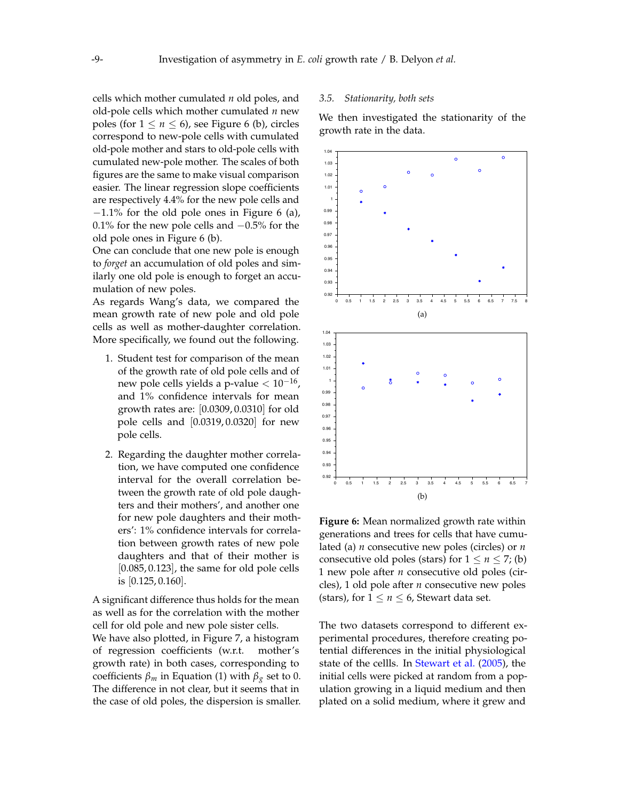cells which mother cumulated *n* old poles, and old-pole cells which mother cumulated *n* new poles (for  $1 \le n \le 6$  $1 \le n \le 6$ ), see Figure 6 (b), circles correspond to new-pole cells with cumulated old-pole mother and stars to old-pole cells with cumulated new-pole mother. The scales of both figures are the same to make visual comparison easier. The linear regression slope coefficients are respectively 4.4% for the new pole cells and −1.1% for the old pole ones in Figure [6](#page-8-0) (a), 0.1% for the new pole cells and −0.5% for the old pole ones in Figure [6](#page-8-0) (b).

One can conclude that one new pole is enough to *forget* an accumulation of old poles and similarly one old pole is enough to forget an accumulation of new poles.

As regards Wang's data, we compared the mean growth rate of new pole and old pole cells as well as mother-daughter correlation. More specifically, we found out the following.

- 1. Student test for comparison of the mean of the growth rate of old pole cells and of new pole cells yields a p-value  $< 10^{-16}$ , and 1% confidence intervals for mean growth rates are: [0.0309, 0.0310] for old pole cells and [0.0319, 0.0320] for new pole cells.
- 2. Regarding the daughter mother correlation, we have computed one confidence interval for the overall correlation between the growth rate of old pole daughters and their mothers', and another one for new pole daughters and their mothers': 1% confidence intervals for correlation between growth rates of new pole daughters and that of their mother is  $[0.085, 0.123]$ , the same for old pole cells is  $[0.125, 0.160]$ .

A significant difference thus holds for the mean as well as for the correlation with the mother cell for old pole and new pole sister cells.

We have also plotted, in Figure [7,](#page-9-0) a histogram of regression coefficients (w.r.t. mother's growth rate) in both cases, corresponding to coefficients  $β<sub>m</sub>$  in Equation [\(1\)](#page-7-2) with  $β<sub>g</sub>$  set to 0. The difference in not clear, but it seems that in the case of old poles, the dispersion is smaller.

#### *3.5. Stationarity, both sets*

We then investigated the stationarity of the growth rate in the data.

<span id="page-8-0"></span>

**Figure 6:** Mean normalized growth rate within generations and trees for cells that have cumulated (a) *n* consecutive new poles (circles) or *n* consecutive old poles (stars) for  $1 \le n \le 7$ ; (b) 1 new pole after *n* consecutive old poles (circles), 1 old pole after *n* consecutive new poles (stars), for  $1 \le n \le 6$ , Stewart data set.

The two datasets correspond to different experimental procedures, therefore creating potential differences in the initial physiological state of the cellls. In [Stewart et al.](#page-12-0) [\(2005\)](#page-12-0), the initial cells were picked at random from a population growing in a liquid medium and then plated on a solid medium, where it grew and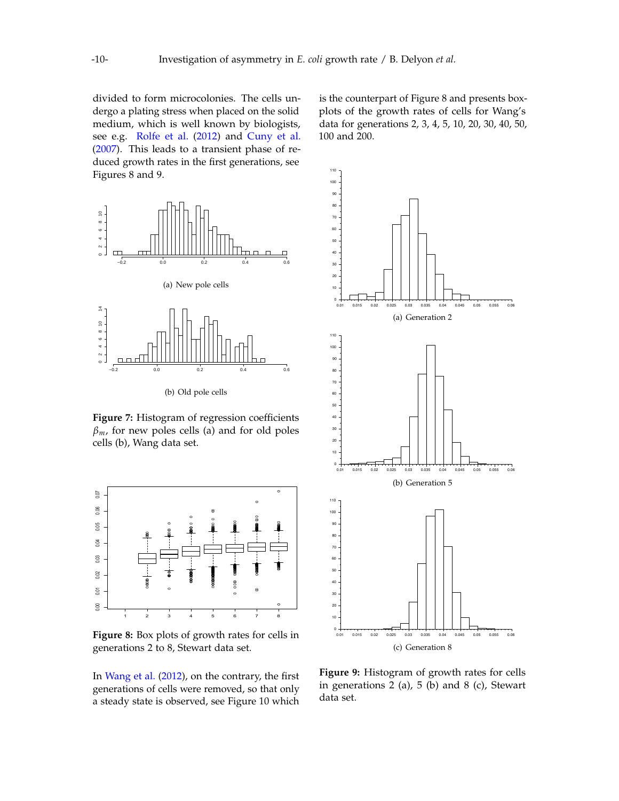divided to form microcolonies. The cells undergo a plating stress when placed on the solid medium, which is well known by biologists, see e.g. [Rolfe et al.](#page-12-2) [\(2012\)](#page-12-2) and [Cuny et al.](#page-11-8) [\(2007\)](#page-11-8). This leads to a transient phase of reduced growth rates in the first generations, see Figures [8](#page-9-1) and [9.](#page-9-2)

<span id="page-9-0"></span>

**Figure 7:** Histogram of regression coefficients  $\beta_m$ , for new poles cells (a) and for old poles cells (b), Wang data set.

<span id="page-9-1"></span>

**Figure 8:** Box plots of growth rates for cells in generations 2 to 8, Stewart data set.

In [Wang et al.](#page-12-1) [\(2012\)](#page-12-1), on the contrary, the first generations of cells were removed, so that only a steady state is observed, see Figure [10](#page-10-1) which

is the counterpart of Figure [8](#page-9-1) and presents boxplots of the growth rates of cells for Wang's data for generations 2, 3, 4, 5, 10, 20, 30, 40, 50, 100 and 200.

<span id="page-9-2"></span>

**Figure 9:** Histogram of growth rates for cells in generations 2 (a),  $5$  (b) and 8 (c), Stewart data set.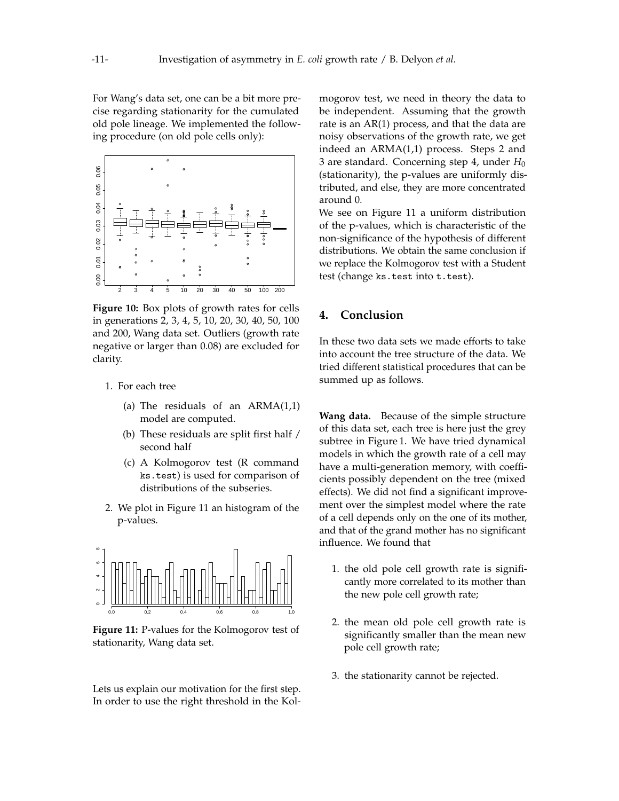For Wang's data set, one can be a bit more precise regarding stationarity for the cumulated old pole lineage. We implemented the following procedure (on old pole cells only):

<span id="page-10-1"></span>

**Figure 10:** Box plots of growth rates for cells in generations 2, 3, 4, 5, 10, 20, 30, 40, 50, 100 and 200, Wang data set. Outliers (growth rate negative or larger than 0.08) are excluded for clarity.

- 1. For each tree
	- (a) The residuals of an  $ARMA(1,1)$ model are computed.
	- (b) These residuals are split first half / second half
	- (c) A Kolmogorov test (R command ks.test) is used for comparison of distributions of the subseries.
- 2. We plot in Figure [11](#page-10-2) an histogram of the p-values.

<span id="page-10-2"></span>

**Figure 11:** P-values for the Kolmogorov test of stationarity, Wang data set.

Lets us explain our motivation for the first step. In order to use the right threshold in the Kolmogorov test, we need in theory the data to be independent. Assuming that the growth rate is an AR(1) process, and that the data are noisy observations of the growth rate, we get indeed an ARMA(1,1) process. Steps 2 and 3 are standard. Concerning step 4, under *H*<sup>0</sup> (stationarity), the p-values are uniformly distributed, and else, they are more concentrated around 0.

We see on Figure [11](#page-10-2) a uniform distribution of the p-values, which is characteristic of the non-significance of the hypothesis of different distributions. We obtain the same conclusion if we replace the Kolmogorov test with a Student test (change ks.test into t.test).

## <span id="page-10-0"></span>**4. Conclusion**

In these two data sets we made efforts to take into account the tree structure of the data. We tried different statistical procedures that can be summed up as follows.

**Wang data.** Because of the simple structure of this data set, each tree is here just the grey subtree in Figure [1.](#page-1-1) We have tried dynamical models in which the growth rate of a cell may have a multi-generation memory, with coefficients possibly dependent on the tree (mixed effects). We did not find a significant improvement over the simplest model where the rate of a cell depends only on the one of its mother, and that of the grand mother has no significant influence. We found that

- 1. the old pole cell growth rate is significantly more correlated to its mother than the new pole cell growth rate;
- 2. the mean old pole cell growth rate is significantly smaller than the mean new pole cell growth rate;
- 3. the stationarity cannot be rejected.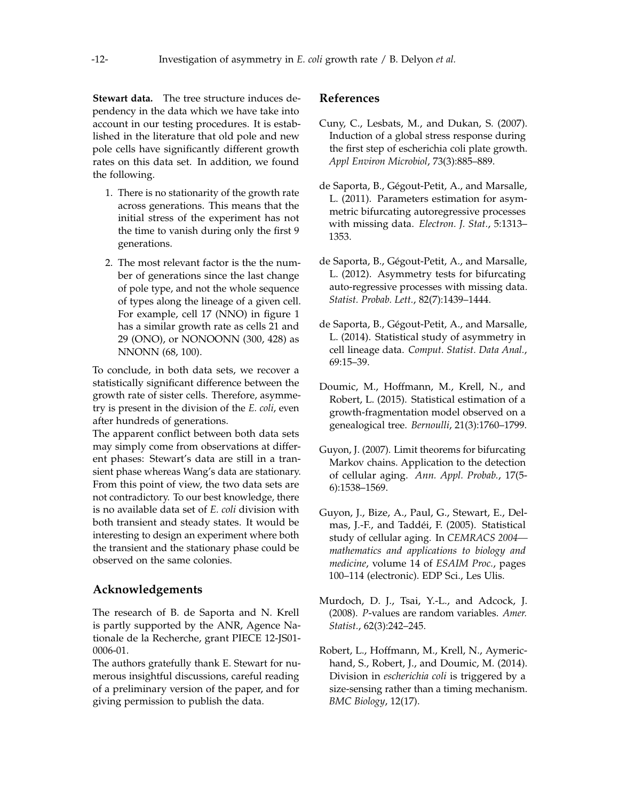**Stewart data.** The tree structure induces dependency in the data which we have take into account in our testing procedures. It is established in the literature that old pole and new pole cells have significantly different growth rates on this data set. In addition, we found the following.

- 1. There is no stationarity of the growth rate across generations. This means that the initial stress of the experiment has not the time to vanish during only the first 9 generations.
- 2. The most relevant factor is the the number of generations since the last change of pole type, and not the whole sequence of types along the lineage of a given cell. For example, cell 17 (NNO) in figure [1](#page-1-1) has a similar growth rate as cells 21 and 29 (ONO), or NONOONN (300, 428) as NNONN (68, 100).

To conclude, in both data sets, we recover a statistically significant difference between the growth rate of sister cells. Therefore, asymmetry is present in the division of the *E. coli*, even after hundreds of generations.

The apparent conflict between both data sets may simply come from observations at different phases: Stewart's data are still in a transient phase whereas Wang's data are stationary. From this point of view, the two data sets are not contradictory. To our best knowledge, there is no available data set of *E. coli* division with both transient and steady states. It would be interesting to design an experiment where both the transient and the stationary phase could be observed on the same colonies.

# **Acknowledgements**

The research of B. de Saporta and N. Krell is partly supported by the ANR, Agence Nationale de la Recherche, grant PIECE 12-JS01- 0006-01.

The authors gratefully thank E. Stewart for numerous insightful discussions, careful reading of a preliminary version of the paper, and for giving permission to publish the data.

# **References**

- <span id="page-11-8"></span>Cuny, C., Lesbats, M., and Dukan, S. (2007). Induction of a global stress response during the first step of escherichia coli plate growth. *Appl Environ Microbiol*, 73(3):885–889.
- <span id="page-11-2"></span>de Saporta, B., Gégout-Petit, A., and Marsalle, L. (2011). Parameters estimation for asymmetric bifurcating autoregressive processes with missing data. *Electron. J. Stat.*, 5:1313– 1353.
- <span id="page-11-3"></span>de Saporta, B., Gégout-Petit, A., and Marsalle, L. (2012). Asymmetry tests for bifurcating auto-regressive processes with missing data. *Statist. Probab. Lett.*, 82(7):1439–1444.
- <span id="page-11-4"></span>de Saporta, B., Gégout-Petit, A., and Marsalle, L. (2014). Statistical study of asymmetry in cell lineage data. *Comput. Statist. Data Anal.*, 69:15–39.
- <span id="page-11-5"></span>Doumic, M., Hoffmann, M., Krell, N., and Robert, L. (2015). Statistical estimation of a growth-fragmentation model observed on a genealogical tree. *Bernoulli*, 21(3):1760–1799.
- <span id="page-11-1"></span>Guyon, J. (2007). Limit theorems for bifurcating Markov chains. Application to the detection of cellular aging. *Ann. Appl. Probab.*, 17(5- 6):1538–1569.
- <span id="page-11-0"></span>Guyon, J., Bize, A., Paul, G., Stewart, E., Delmas, J.-F., and Taddéi, F. (2005). Statistical study of cellular aging. In *CEMRACS 2004 mathematics and applications to biology and medicine*, volume 14 of *ESAIM Proc.*, pages 100–114 (electronic). EDP Sci., Les Ulis.
- <span id="page-11-7"></span>Murdoch, D. J., Tsai, Y.-L., and Adcock, J. (2008). *P*-values are random variables. *Amer. Statist.*, 62(3):242–245.
- <span id="page-11-6"></span>Robert, L., Hoffmann, M., Krell, N., Aymerichand, S., Robert, J., and Doumic, M. (2014). Division in *escherichia coli* is triggered by a size-sensing rather than a timing mechanism. *BMC Biology*, 12(17).